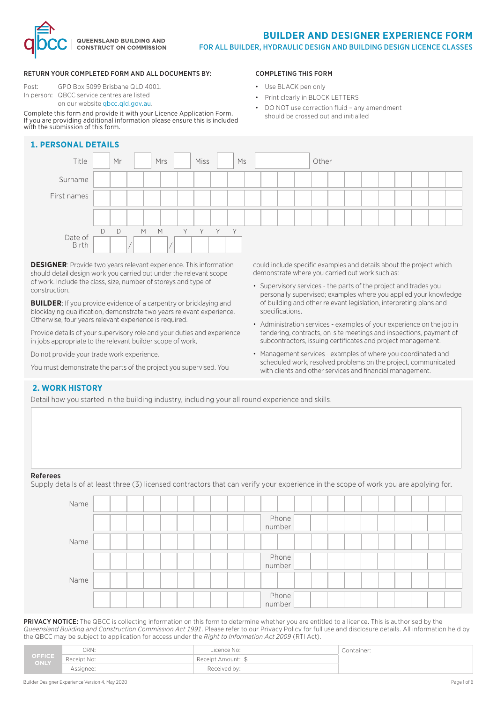

• DO NOT use correction fluid – any amendment

COMPLETING THIS FORM • Use BLACK pen only

• Print clearly in BLOCK LETTERS

should be crossed out and initialled

#### RETURN YOUR COMPLETED FORM AND ALL DOCUMENTS BY:

Post: GPO Box 5099 Brisbane QLD 4001. In person: QBCC service centres are listed on our website qbcc.qld.gov.au.

#### Complete this form and provide it with your Licence Application Form. If you are providing additional information please ensure this is included with the submission of this form.

### **1. PERSONAL DETAILS**

# Title Mr Mrs Miss Miss Miss Music Miss Mother Surname First names Date of Birth D D M M Y Y Y Y / /

**DESIGNER**: Provide two years relevant experience. This information should detail design work you carried out under the relevant scope of work. Include the class, size, number of storeys and type of construction.

**BUILDER:** If you provide evidence of a carpentry or bricklaying and blocklaying qualification, demonstrate two years relevant experience. Otherwise, four years relevant experience is required.

Provide details of your supervisory role and your duties and experience in jobs appropriate to the relevant builder scope of work.

Do not provide your trade work experience.

You must demonstrate the parts of the project you supervised. You

could include specific examples and details about the project which demonstrate where you carried out work such as:

- Supervisory services the parts of the project and trades you personally supervised; examples where you applied your knowledge of building and other relevant legislation, interpreting plans and specifications.
- Administration services examples of your experience on the job in tendering, contracts, on-site meetings and inspections, payment of subcontractors, issuing certificates and project management.
- Management services examples of where you coordinated and scheduled work, resolved problems on the project, communicated with clients and other services and financial management.

### **2. WORK HISTORY**

Detail how you started in the building industry, including your all round experience and skills.

#### **Reference**

Supply details of at least three (3) licensed contractors that can verify your experience in the scope of work you are applying for.

| Name |  |  |  |                   |  |  |  |  |
|------|--|--|--|-------------------|--|--|--|--|
|      |  |  |  | Phone<br>  number |  |  |  |  |
| Name |  |  |  |                   |  |  |  |  |
|      |  |  |  | Phone<br>  number |  |  |  |  |
| Name |  |  |  |                   |  |  |  |  |
|      |  |  |  | Phone<br>number   |  |  |  |  |

PRIVACY NOTICE: The QBCC is collecting information on this form to determine whether you are entitled to a licence. This is authorised by the *Queensland Building and Construction Commission Act 1991*. Please refer to our Privacy Policy for full use and disclosure details. All information held by the QBCC may be subject to application for access under the *Right to Information Act 2009* (RTI Act).

|                | CRN:        | .icence No:        | Container: |
|----------------|-------------|--------------------|------------|
| OFFICE<br>ONLY | Receipt No: | Receipt Amount: \$ |            |
|                | Assignee:   | Received by:       |            |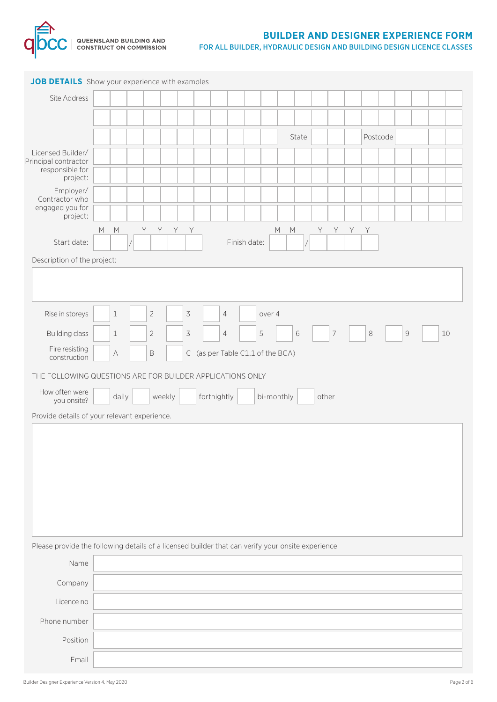

| JOB DETAILS Show your experience with examples                                                    |                                                                                                                                              |             |                |                                  |                |  |            |  |       |                |  |          |              |  |    |  |
|---------------------------------------------------------------------------------------------------|----------------------------------------------------------------------------------------------------------------------------------------------|-------------|----------------|----------------------------------|----------------|--|------------|--|-------|----------------|--|----------|--------------|--|----|--|
| Site Address                                                                                      |                                                                                                                                              |             |                |                                  |                |  |            |  |       |                |  |          |              |  |    |  |
|                                                                                                   |                                                                                                                                              |             |                |                                  |                |  |            |  |       |                |  |          |              |  |    |  |
|                                                                                                   |                                                                                                                                              |             |                |                                  |                |  |            |  | State |                |  | Postcode |              |  |    |  |
| Licensed Builder/<br>Principal contractor<br>responsible for                                      |                                                                                                                                              |             |                |                                  |                |  |            |  |       |                |  |          |              |  |    |  |
| project:<br>Employer/<br>Contractor who<br>engaged you for<br>project:                            |                                                                                                                                              |             |                |                                  |                |  |            |  |       |                |  |          |              |  |    |  |
|                                                                                                   | Y<br>$\mathsf Y$<br>Y -<br>Y<br>$M_{\odot}$<br>$M_{\odot}$<br>Y<br>$M_{\odot}$<br>$M_{\odot}$<br>Y.<br>Y<br>Y<br>Start date:<br>Finish date: |             |                |                                  |                |  |            |  |       |                |  |          |              |  |    |  |
|                                                                                                   |                                                                                                                                              |             |                |                                  |                |  |            |  |       |                |  |          |              |  |    |  |
| Description of the project:                                                                       |                                                                                                                                              |             |                |                                  |                |  |            |  |       |                |  |          |              |  |    |  |
|                                                                                                   |                                                                                                                                              |             |                |                                  |                |  |            |  |       |                |  |          |              |  |    |  |
| Rise in storeys                                                                                   | $\mathbf 1$                                                                                                                                  | $\sqrt{2}$  | $\overline{3}$ |                                  | $\overline{4}$ |  | over 4     |  |       |                |  |          |              |  |    |  |
| <b>Building class</b>                                                                             | $\mathbf 1$                                                                                                                                  | $\sqrt{2}$  | $\overline{3}$ |                                  | 4              |  | 5          |  | 6     | $\overline{7}$ |  | $\,8\,$  | $\mathcal G$ |  | 10 |  |
| Fire resisting<br>construction                                                                    | $\mathbb A$                                                                                                                                  | $\mathsf B$ |                | C (as per Table C1.1 of the BCA) |                |  |            |  |       |                |  |          |              |  |    |  |
| THE FOLLOWING QUESTIONS ARE FOR BUILDER APPLICATIONS ONLY                                         |                                                                                                                                              |             |                |                                  |                |  |            |  |       |                |  |          |              |  |    |  |
| How often were                                                                                    |                                                                                                                                              |             |                |                                  |                |  |            |  |       |                |  |          |              |  |    |  |
| you onsite?                                                                                       | daily                                                                                                                                        | weekly      |                | fortnightly                      |                |  | bi-monthly |  |       | other          |  |          |              |  |    |  |
| Provide details of your relevant experience.                                                      |                                                                                                                                              |             |                |                                  |                |  |            |  |       |                |  |          |              |  |    |  |
|                                                                                                   |                                                                                                                                              |             |                |                                  |                |  |            |  |       |                |  |          |              |  |    |  |
|                                                                                                   |                                                                                                                                              |             |                |                                  |                |  |            |  |       |                |  |          |              |  |    |  |
|                                                                                                   |                                                                                                                                              |             |                |                                  |                |  |            |  |       |                |  |          |              |  |    |  |
|                                                                                                   |                                                                                                                                              |             |                |                                  |                |  |            |  |       |                |  |          |              |  |    |  |
|                                                                                                   |                                                                                                                                              |             |                |                                  |                |  |            |  |       |                |  |          |              |  |    |  |
|                                                                                                   |                                                                                                                                              |             |                |                                  |                |  |            |  |       |                |  |          |              |  |    |  |
| Please provide the following details of a licensed builder that can verify your onsite experience |                                                                                                                                              |             |                |                                  |                |  |            |  |       |                |  |          |              |  |    |  |
| Name                                                                                              |                                                                                                                                              |             |                |                                  |                |  |            |  |       |                |  |          |              |  |    |  |
| Company                                                                                           |                                                                                                                                              |             |                |                                  |                |  |            |  |       |                |  |          |              |  |    |  |
| Licence no                                                                                        |                                                                                                                                              |             |                |                                  |                |  |            |  |       |                |  |          |              |  |    |  |
| Phone number                                                                                      |                                                                                                                                              |             |                |                                  |                |  |            |  |       |                |  |          |              |  |    |  |
| Position                                                                                          |                                                                                                                                              |             |                |                                  |                |  |            |  |       |                |  |          |              |  |    |  |
| Email                                                                                             |                                                                                                                                              |             |                |                                  |                |  |            |  |       |                |  |          |              |  |    |  |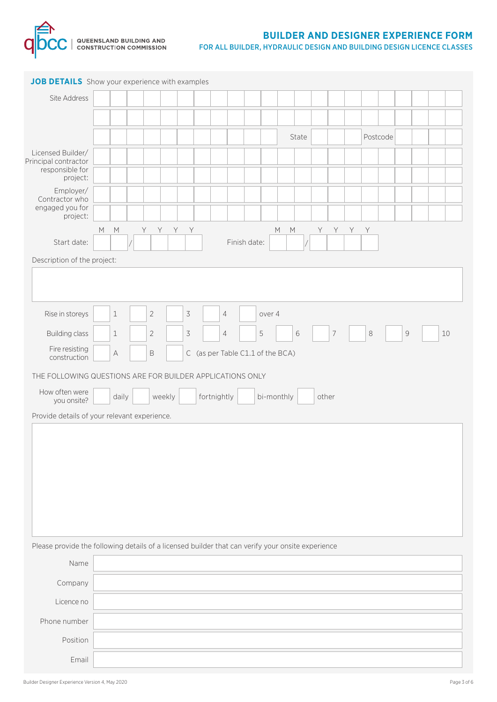

| JOB DETAILS Show your experience with examples                                                    |           |             |                |                                  |              |                            |                |     |          |              |    |
|---------------------------------------------------------------------------------------------------|-----------|-------------|----------------|----------------------------------|--------------|----------------------------|----------------|-----|----------|--------------|----|
| Site Address                                                                                      |           |             |                |                                  |              |                            |                |     |          |              |    |
|                                                                                                   |           |             |                |                                  |              |                            |                |     |          |              |    |
|                                                                                                   |           |             |                |                                  |              | State                      |                |     | Postcode |              |    |
| Licensed Builder/                                                                                 |           |             |                |                                  |              |                            |                |     |          |              |    |
| Principal contractor<br>responsible for<br>project:                                               |           |             |                |                                  |              |                            |                |     |          |              |    |
| Employer/<br>Contractor who                                                                       |           |             |                |                                  |              |                            |                |     |          |              |    |
| engaged you for<br>project:                                                                       |           |             |                |                                  |              |                            |                |     |          |              |    |
|                                                                                                   | M<br>M    | Y<br>Y.     | Y .<br>Y       |                                  |              | $M_{\odot}$<br>$M_{\odot}$ | Y .<br>Y .     | Y Y |          |              |    |
| Start date:                                                                                       |           |             |                |                                  | Finish date: |                            |                |     |          |              |    |
| Description of the project:                                                                       |           |             |                |                                  |              |                            |                |     |          |              |    |
|                                                                                                   |           |             |                |                                  |              |                            |                |     |          |              |    |
|                                                                                                   |           |             |                |                                  |              |                            |                |     |          |              |    |
| Rise in storeys                                                                                   | $\,1\,$   | $\sqrt{2}$  | $\overline{3}$ | $\overline{4}$                   | over 4       |                            |                |     |          |              |    |
| <b>Building class</b>                                                                             | $1\,$     | $\sqrt{2}$  | $\overline{3}$ | 4                                | 5            | 6                          | $\overline{7}$ |     | $\,8\,$  | $\mathcal G$ | 10 |
| Fire resisting<br>construction                                                                    | $\forall$ | $\mathsf B$ |                | C (as per Table C1.1 of the BCA) |              |                            |                |     |          |              |    |
| THE FOLLOWING QUESTIONS ARE FOR BUILDER APPLICATIONS ONLY                                         |           |             |                |                                  |              |                            |                |     |          |              |    |
| How often were                                                                                    | daily     | weekly      |                | fortnightly                      | bi-monthly   |                            | other          |     |          |              |    |
| you onsite?                                                                                       |           |             |                |                                  |              |                            |                |     |          |              |    |
| Provide details of your relevant experience.                                                      |           |             |                |                                  |              |                            |                |     |          |              |    |
|                                                                                                   |           |             |                |                                  |              |                            |                |     |          |              |    |
|                                                                                                   |           |             |                |                                  |              |                            |                |     |          |              |    |
|                                                                                                   |           |             |                |                                  |              |                            |                |     |          |              |    |
|                                                                                                   |           |             |                |                                  |              |                            |                |     |          |              |    |
|                                                                                                   |           |             |                |                                  |              |                            |                |     |          |              |    |
|                                                                                                   |           |             |                |                                  |              |                            |                |     |          |              |    |
| Please provide the following details of a licensed builder that can verify your onsite experience |           |             |                |                                  |              |                            |                |     |          |              |    |
| Name                                                                                              |           |             |                |                                  |              |                            |                |     |          |              |    |
| Company                                                                                           |           |             |                |                                  |              |                            |                |     |          |              |    |
| Licence no                                                                                        |           |             |                |                                  |              |                            |                |     |          |              |    |
| Phone number                                                                                      |           |             |                |                                  |              |                            |                |     |          |              |    |
| Position                                                                                          |           |             |                |                                  |              |                            |                |     |          |              |    |
|                                                                                                   |           |             |                |                                  |              |                            |                |     |          |              |    |
| Email                                                                                             |           |             |                |                                  |              |                            |                |     |          |              |    |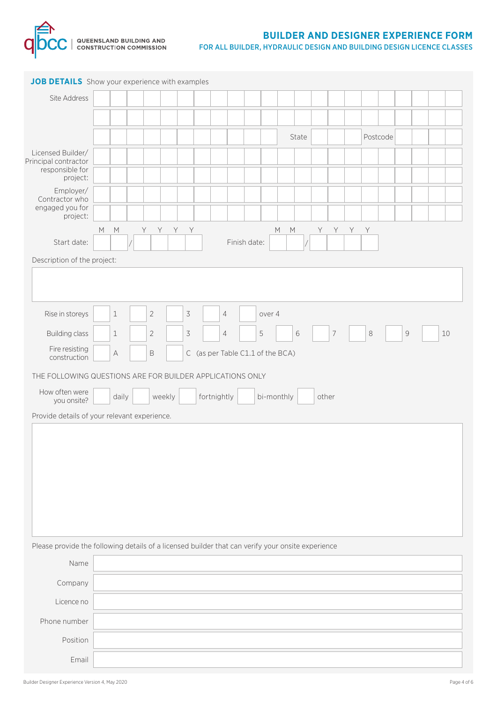

| JOB DETAILS Show your experience with examples                                                    |                                                                                                                                              |             |                |                                  |                |  |            |  |       |                |  |          |              |  |    |  |
|---------------------------------------------------------------------------------------------------|----------------------------------------------------------------------------------------------------------------------------------------------|-------------|----------------|----------------------------------|----------------|--|------------|--|-------|----------------|--|----------|--------------|--|----|--|
| Site Address                                                                                      |                                                                                                                                              |             |                |                                  |                |  |            |  |       |                |  |          |              |  |    |  |
|                                                                                                   |                                                                                                                                              |             |                |                                  |                |  |            |  |       |                |  |          |              |  |    |  |
|                                                                                                   |                                                                                                                                              |             |                |                                  |                |  |            |  | State |                |  | Postcode |              |  |    |  |
| Licensed Builder/<br>Principal contractor<br>responsible for                                      |                                                                                                                                              |             |                |                                  |                |  |            |  |       |                |  |          |              |  |    |  |
| project:<br>Employer/<br>Contractor who<br>engaged you for<br>project:                            |                                                                                                                                              |             |                |                                  |                |  |            |  |       |                |  |          |              |  |    |  |
|                                                                                                   | Y<br>$\mathsf Y$<br>Y -<br>Y<br>$M_{\odot}$<br>$M_{\odot}$<br>Y<br>$M_{\odot}$<br>$M_{\odot}$<br>Y.<br>Y<br>Y<br>Start date:<br>Finish date: |             |                |                                  |                |  |            |  |       |                |  |          |              |  |    |  |
|                                                                                                   |                                                                                                                                              |             |                |                                  |                |  |            |  |       |                |  |          |              |  |    |  |
| Description of the project:                                                                       |                                                                                                                                              |             |                |                                  |                |  |            |  |       |                |  |          |              |  |    |  |
|                                                                                                   |                                                                                                                                              |             |                |                                  |                |  |            |  |       |                |  |          |              |  |    |  |
| Rise in storeys                                                                                   | $\mathbf 1$                                                                                                                                  | $\sqrt{2}$  | $\overline{3}$ |                                  | $\overline{4}$ |  | over 4     |  |       |                |  |          |              |  |    |  |
| <b>Building class</b>                                                                             | $\mathbf 1$                                                                                                                                  | $\sqrt{2}$  | $\overline{3}$ |                                  | 4              |  | 5          |  | 6     | $\overline{7}$ |  | $\,8\,$  | $\mathcal G$ |  | 10 |  |
| Fire resisting<br>construction                                                                    | $\mathbb A$                                                                                                                                  | $\mathsf B$ |                | C (as per Table C1.1 of the BCA) |                |  |            |  |       |                |  |          |              |  |    |  |
| THE FOLLOWING QUESTIONS ARE FOR BUILDER APPLICATIONS ONLY                                         |                                                                                                                                              |             |                |                                  |                |  |            |  |       |                |  |          |              |  |    |  |
| How often were                                                                                    |                                                                                                                                              |             |                |                                  |                |  |            |  |       |                |  |          |              |  |    |  |
| you onsite?                                                                                       | daily                                                                                                                                        | weekly      |                | fortnightly                      |                |  | bi-monthly |  |       | other          |  |          |              |  |    |  |
| Provide details of your relevant experience.                                                      |                                                                                                                                              |             |                |                                  |                |  |            |  |       |                |  |          |              |  |    |  |
|                                                                                                   |                                                                                                                                              |             |                |                                  |                |  |            |  |       |                |  |          |              |  |    |  |
|                                                                                                   |                                                                                                                                              |             |                |                                  |                |  |            |  |       |                |  |          |              |  |    |  |
|                                                                                                   |                                                                                                                                              |             |                |                                  |                |  |            |  |       |                |  |          |              |  |    |  |
|                                                                                                   |                                                                                                                                              |             |                |                                  |                |  |            |  |       |                |  |          |              |  |    |  |
|                                                                                                   |                                                                                                                                              |             |                |                                  |                |  |            |  |       |                |  |          |              |  |    |  |
|                                                                                                   |                                                                                                                                              |             |                |                                  |                |  |            |  |       |                |  |          |              |  |    |  |
| Please provide the following details of a licensed builder that can verify your onsite experience |                                                                                                                                              |             |                |                                  |                |  |            |  |       |                |  |          |              |  |    |  |
| Name                                                                                              |                                                                                                                                              |             |                |                                  |                |  |            |  |       |                |  |          |              |  |    |  |
| Company                                                                                           |                                                                                                                                              |             |                |                                  |                |  |            |  |       |                |  |          |              |  |    |  |
| Licence no                                                                                        |                                                                                                                                              |             |                |                                  |                |  |            |  |       |                |  |          |              |  |    |  |
| Phone number                                                                                      |                                                                                                                                              |             |                |                                  |                |  |            |  |       |                |  |          |              |  |    |  |
| Position                                                                                          |                                                                                                                                              |             |                |                                  |                |  |            |  |       |                |  |          |              |  |    |  |
| Email                                                                                             |                                                                                                                                              |             |                |                                  |                |  |            |  |       |                |  |          |              |  |    |  |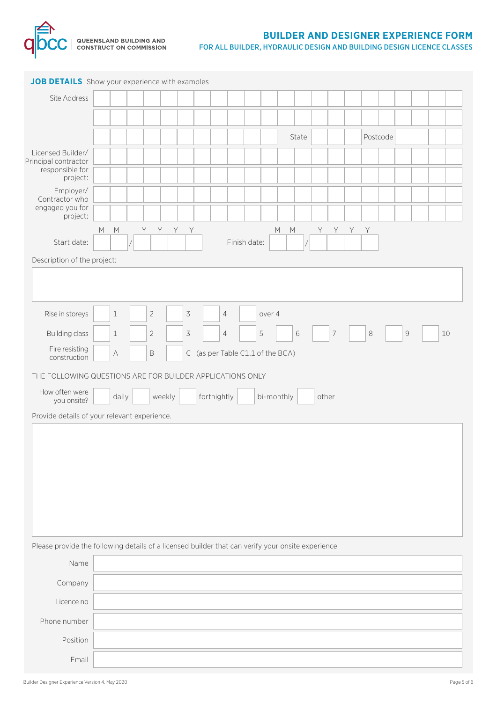

| JOB DETAILS Show your experience with examples                                                    |                                                                                                                                              |             |                |                                  |                |  |            |  |       |                |  |          |              |  |    |  |
|---------------------------------------------------------------------------------------------------|----------------------------------------------------------------------------------------------------------------------------------------------|-------------|----------------|----------------------------------|----------------|--|------------|--|-------|----------------|--|----------|--------------|--|----|--|
| Site Address                                                                                      |                                                                                                                                              |             |                |                                  |                |  |            |  |       |                |  |          |              |  |    |  |
|                                                                                                   |                                                                                                                                              |             |                |                                  |                |  |            |  |       |                |  |          |              |  |    |  |
|                                                                                                   |                                                                                                                                              |             |                |                                  |                |  |            |  | State |                |  | Postcode |              |  |    |  |
| Licensed Builder/<br>Principal contractor<br>responsible for                                      |                                                                                                                                              |             |                |                                  |                |  |            |  |       |                |  |          |              |  |    |  |
| project:<br>Employer/<br>Contractor who<br>engaged you for<br>project:                            |                                                                                                                                              |             |                |                                  |                |  |            |  |       |                |  |          |              |  |    |  |
|                                                                                                   | Y<br>$\mathsf Y$<br>Y -<br>Y<br>$M_{\odot}$<br>$M_{\odot}$<br>Y<br>$M_{\odot}$<br>$M_{\odot}$<br>Y.<br>Y<br>Y<br>Start date:<br>Finish date: |             |                |                                  |                |  |            |  |       |                |  |          |              |  |    |  |
|                                                                                                   |                                                                                                                                              |             |                |                                  |                |  |            |  |       |                |  |          |              |  |    |  |
| Description of the project:                                                                       |                                                                                                                                              |             |                |                                  |                |  |            |  |       |                |  |          |              |  |    |  |
|                                                                                                   |                                                                                                                                              |             |                |                                  |                |  |            |  |       |                |  |          |              |  |    |  |
| Rise in storeys                                                                                   | $\mathbf 1$                                                                                                                                  | $\sqrt{2}$  | $\overline{3}$ |                                  | $\overline{4}$ |  | over 4     |  |       |                |  |          |              |  |    |  |
| <b>Building class</b>                                                                             | $\mathbf 1$                                                                                                                                  | $\sqrt{2}$  | $\overline{3}$ |                                  | 4              |  | 5          |  | 6     | $\overline{7}$ |  | $\,8\,$  | $\mathcal G$ |  | 10 |  |
| Fire resisting<br>construction                                                                    | $\mathbb A$                                                                                                                                  | $\mathsf B$ |                | C (as per Table C1.1 of the BCA) |                |  |            |  |       |                |  |          |              |  |    |  |
| THE FOLLOWING QUESTIONS ARE FOR BUILDER APPLICATIONS ONLY                                         |                                                                                                                                              |             |                |                                  |                |  |            |  |       |                |  |          |              |  |    |  |
| How often were                                                                                    |                                                                                                                                              |             |                |                                  |                |  |            |  |       |                |  |          |              |  |    |  |
| you onsite?                                                                                       | daily                                                                                                                                        | weekly      |                | fortnightly                      |                |  | bi-monthly |  |       | other          |  |          |              |  |    |  |
| Provide details of your relevant experience.                                                      |                                                                                                                                              |             |                |                                  |                |  |            |  |       |                |  |          |              |  |    |  |
|                                                                                                   |                                                                                                                                              |             |                |                                  |                |  |            |  |       |                |  |          |              |  |    |  |
|                                                                                                   |                                                                                                                                              |             |                |                                  |                |  |            |  |       |                |  |          |              |  |    |  |
|                                                                                                   |                                                                                                                                              |             |                |                                  |                |  |            |  |       |                |  |          |              |  |    |  |
|                                                                                                   |                                                                                                                                              |             |                |                                  |                |  |            |  |       |                |  |          |              |  |    |  |
|                                                                                                   |                                                                                                                                              |             |                |                                  |                |  |            |  |       |                |  |          |              |  |    |  |
|                                                                                                   |                                                                                                                                              |             |                |                                  |                |  |            |  |       |                |  |          |              |  |    |  |
| Please provide the following details of a licensed builder that can verify your onsite experience |                                                                                                                                              |             |                |                                  |                |  |            |  |       |                |  |          |              |  |    |  |
| Name                                                                                              |                                                                                                                                              |             |                |                                  |                |  |            |  |       |                |  |          |              |  |    |  |
| Company                                                                                           |                                                                                                                                              |             |                |                                  |                |  |            |  |       |                |  |          |              |  |    |  |
| Licence no                                                                                        |                                                                                                                                              |             |                |                                  |                |  |            |  |       |                |  |          |              |  |    |  |
| Phone number                                                                                      |                                                                                                                                              |             |                |                                  |                |  |            |  |       |                |  |          |              |  |    |  |
| Position                                                                                          |                                                                                                                                              |             |                |                                  |                |  |            |  |       |                |  |          |              |  |    |  |
| Email                                                                                             |                                                                                                                                              |             |                |                                  |                |  |            |  |       |                |  |          |              |  |    |  |